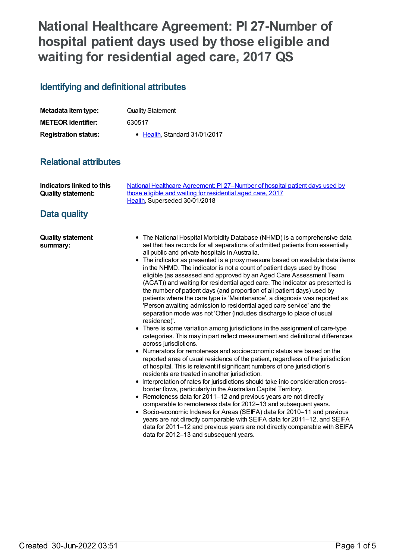# **National Healthcare Agreement: PI 27-Number of hospital patient days used by those eligible and waiting for residential aged care, 2017 QS**

## **Identifying and definitional attributes**

| Metadata item type:         | <b>Quality Statement</b>      |
|-----------------------------|-------------------------------|
| <b>METEOR identifier:</b>   | 630517                        |
| <b>Registration status:</b> | • Health, Standard 31/01/2017 |

## **Relational attributes**

| Indicators linked to this | National Healthcare Agreement: PI 27-Number of hospital patient days used by |
|---------------------------|------------------------------------------------------------------------------|
| <b>Quality statement:</b> | those eligible and waiting for residential aged care, 2017                   |
|                           | Health. Superseded 30/01/2018                                                |

## **Data quality**

| <b>Quality statement</b> | • The National Hospital Morbidity Database (NHMD) is a comprehensive data      |
|--------------------------|--------------------------------------------------------------------------------|
| summary:                 | set that has records for all separations of admitted patients from essentially |
|                          | all public and private hospitals in Australia.                                 |

- The indicator as presented is a proxy measure based on available data items in the NHMD. The indicator is not a count of patient days used by those eligible (as assessed and approved by an Aged Care Assessment Team (ACAT)) and waiting for residential aged care. The indicator as presented is the number of patient days (and proportion of all patient days) used by patients where the care type is 'Maintenance', a diagnosis was reported as 'Person awaiting admission to residential aged care service' and the separation mode was not 'Other (includes discharge to place of usual residence)'.
- There is some variation among jurisdictions in the assignment of care-type categories. This may in part reflect measurement and definitional differences across jurisdictions.
- Numerators for remoteness and socioeconomic status are based on the reported area of usual residence of the patient, regardless of the jurisdiction of hospital. This is relevant if significant numbers of one jurisdiction's residents are treated in another jurisdiction.
- $\bullet$  Interpretation of rates for jurisdictions should take into consideration crossborder flows, particularly in the Australian Capital Territory.
- Remoteness data for 2011–12 and previous years are not directly comparable to remoteness data for 2012–13 and subsequent years.
- Socio-economic Indexes for Areas (SEIFA) data for 2010–11 and previous years are not directly comparable with SEIFA data for 2011–12, and SEIFA data for 2011–12 and previous years are not directly comparable with SEIFA data for 2012–13 and subsequent years.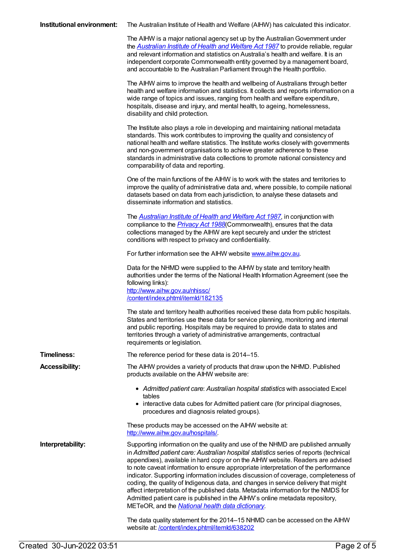|  | <b>Institutional environment:</b> The Australian Institute of Health and Welfare (AIHW) has calculated this indicator. |
|--|------------------------------------------------------------------------------------------------------------------------|
|--|------------------------------------------------------------------------------------------------------------------------|

The AIHW is a major national agency set up by the Australian Government under the *[Australian](http://www.legislation.gov.au/Series/C2004A03450) Institute of Health and Welfare Act 1987* to provide reliable, regular and relevant information and statistics on Australia's health and welfare. It is an independent corporate Commonwealth entity governed by a management board, and accountable to the Australian Parliament through the Health portfolio.

The AIHW aims to improve the health and wellbeing of Australians through better health and welfare information and statistics. It collects and reports information on a wide range of topics and issues, ranging from health and welfare expenditure, hospitals, disease and injury, and mental health, to ageing, homelessness, disability and child protection.

The Institute also plays a role in developing and maintaining national metadata standards. This work contributes to improving the quality and consistency of national health and welfare statistics. The Institute works closely with governments and non-government organisations to achieve greater adherence to these standards in administrative data collections to promote national consistency and comparability of data and reporting.

One of the main functions of the AIHW is to work with the states and territories to improve the quality of administrative data and, where possible, to compile national datasets based on data from each jurisdiction, to analyse these datasets and disseminate information and statistics.

The *[Australian](http://www.legislation.gov.au/Series/C2004A03450) Institute of Health and Welfare Act 1987*, in conjunction with compliance to the *[Privacy](https://www.legislation.gov.au/Series/C2004A03712) Act 1988*(Commonwealth), ensures that the data collections managed by the AIHW are kept securely and under the strictest conditions with respect to privacy and confidentiality.

For further information see the AIHW website [www.aihw.gov.au](http://www.aihw.gov.au/).

Data for the NHMD were supplied to the AIHW by state and territory health authorities under the terms of the National Health Information Agreement (see the following links): <http://www.aihw.gov.au/nhissc/> [/content/index.phtml/itemId/182135](file:///content/182135)

The state and territory health authorities received these data from public hospitals. States and territories use these data for service planning, monitoring and internal and public reporting. Hospitals may be required to provide data to states and territories through a variety of administrative arrangements, contractual requirements or legislation.

**Timeliness:** The reference period for these data is 2014–15. **Accessibility:** The AIHW provides a variety of products that draw upon the NHMD. Published

products available on the AIHW website are:

- *Admitted patient care*: *Australian hospital statistics* with associated Excel tables
- interactive data cubes for Admitted patient care (for principal diagnoses, procedures and diagnosis related groups).

These products may be accessed on the AIHW website at: <http://www.aihw.gov.au/hospitals/>.

**Interpretability:** Supporting information on the quality and use of the NHMD are published annually in *Admitted patient care: Australian hospital statistics* series of reports (technical appendixes), available in hard copy or on the AIHW website. Readers are advised to note caveat information to ensure appropriate interpretation of the performance indicator. Supporting information includes discussion of coverage, completeness of coding, the quality of Indigenous data, and changes in service delivery that might affect interpretation of the published data. Metadata information for the NMDS for Admitted patient care is published in the AIHW's online metadata repository, METeOR, and the *National health data [dictionary](file:///content/268110)*.

> The data quality statement for the 2014–15 NHMD can be accessed on the AIHW website at: /content/index.phtml/itemld/638202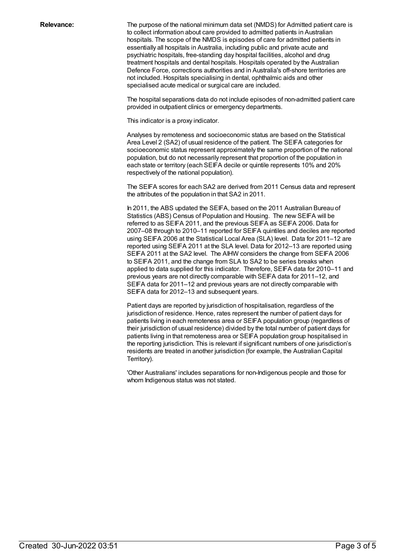**Relevance:** The purpose of the national minimum data set (NMDS) for Admitted patient care is to collect information about care provided to admitted patients in Australian hospitals. The scope of the NMDS is episodes of care for admitted patients in essentially all hospitals in Australia, including public and private acute and psychiatric hospitals, free-standing day hospital facilities, alcohol and drug treatment hospitals and dental hospitals. Hospitals operated by the Australian Defence Force, corrections authorities and in Australia's off-shore territories are not included. Hospitals specialising in dental, ophthalmic aids and other specialised acute medical or surgical care are included.

> The hospital separations data do not include episodes of non-admitted patient care provided in outpatient clinics or emergency departments.

This indicator is a proxy indicator.

Analyses by remoteness and socioeconomic status are based on the Statistical Area Level 2 (SA2) of usual residence of the patient. The SEIFA categories for socioeconomic status represent approximately the same proportion of the national population, but do not necessarily represent that proportion of the population in each state or territory (each SEIFA decile or quintile represents 10% and 20% respectively of the national population).

The SEIFA scores for each SA2 are derived from 2011 Census data and represent the attributes of the population in that SA2 in 2011.

In 2011, the ABS updated the SEIFA, based on the 2011 Australian Bureau of Statistics (ABS) Census of Population and Housing. The new SEIFA will be referred to as SEIFA 2011, and the previous SEIFA as SEIFA 2006. Data for 2007–08 through to 2010–11 reported for SEIFA quintiles and deciles are reported using SEIFA 2006 at the Statistical Local Area (SLA) level. Data for 2011–12 are reported using SEIFA 2011 at the SLA level. Data for 2012–13 are reported using SEIFA 2011 at the SA2 level. The AIHW considers the change from SEIFA 2006 to SEIFA 2011, and the change from SLA to SA2 to be series breaks when applied to data supplied for this indicator. Therefore, SEIFA data for 2010–11 and previous years are not directly comparable with SEIFA data for 2011–12, and SEIFA data for 2011–12 and previous years are not directly comparable with SEIFA data for 2012–13 and subsequent years.

Patient days are reported by jurisdiction of hospitalisation, regardless of the jurisdiction of residence. Hence, rates represent the number of patient days for patients living in each remoteness area or SEIFA population group (regardless of their jurisdiction of usual residence) divided by the total number of patient days for patients living in that remoteness area or SEIFA population group hospitalised in the reporting jurisdiction. This is relevant if significant numbers of one jurisdiction's residents are treated in another jurisdiction (for example, the Australian Capital Territory).

'Other Australians' includes separations for non-Indigenous people and those for whom Indigenous status was not stated.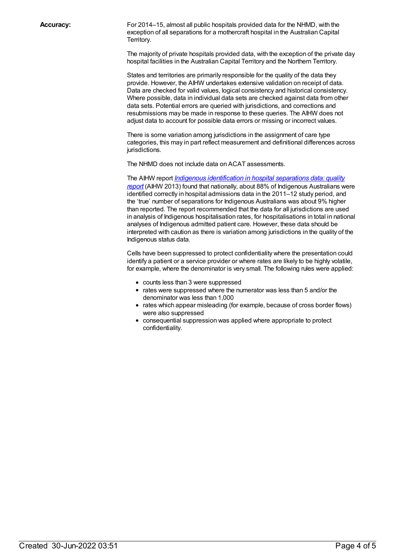**Accuracy:** For 2014–15, almost all public hospitals provided data for the NHMD, with the exception of all separations for a mothercraft hospital in the Australian Capital Territory.

> The majority of private hospitals provided data, with the exception of the private day hospital facilities in the Australian Capital Territory and the Northern Territory.

States and territories are primarily responsible for the quality of the data they provide. However, the AIHW undertakes extensive validation on receipt of data. Data are checked for valid values, logical consistency and historical consistency. Where possible, data in individual data sets are checked against data from other data sets. Potential errors are queried with jurisdictions, and corrections and resubmissions may be made in response to these queries. The AIHW does not adjust data to account for possible data errors or missing or incorrect values.

There is some variation among jurisdictions in the assignment of care type categories, this may in part reflect measurement and definitional differences across jurisdictions.

The NHMD does not include data on ACAT assessments.

The AIHW report *Indigenous [identification](http://www.aihw.gov.au/publication-detail/?id=60129543215) in hospital separations data: quality report* (AIHW 2013) found that nationally, about 88% of Indigenous Australians were identified correctly in hospital admissions data in the 2011–12 study period, and the 'true' number of separations for Indigenous Australians was about 9% higher than reported. The report recommended that the data for all jurisdictions are used in analysis of Indigenous hospitalisation rates, for hospitalisations in total in national analyses of Indigenous admitted patient care. However, these data should be interpreted with caution as there is variation among jurisdictions in the quality of the Indigenous status data.

Cells have been suppressed to protect confidentiality where the presentation could identify a patient or a service provider or where rates are likely to be highly volatile, for example, where the denominator is very small. The following rules were applied:

- counts less than 3 were suppressed
- rates were suppressed where the numerator was less than 5 and/or the denominator was less than 1,000
- rates which appear misleading (for example, because of cross border flows) were also suppressed
- consequential suppression was applied where appropriate to protect confidentiality.